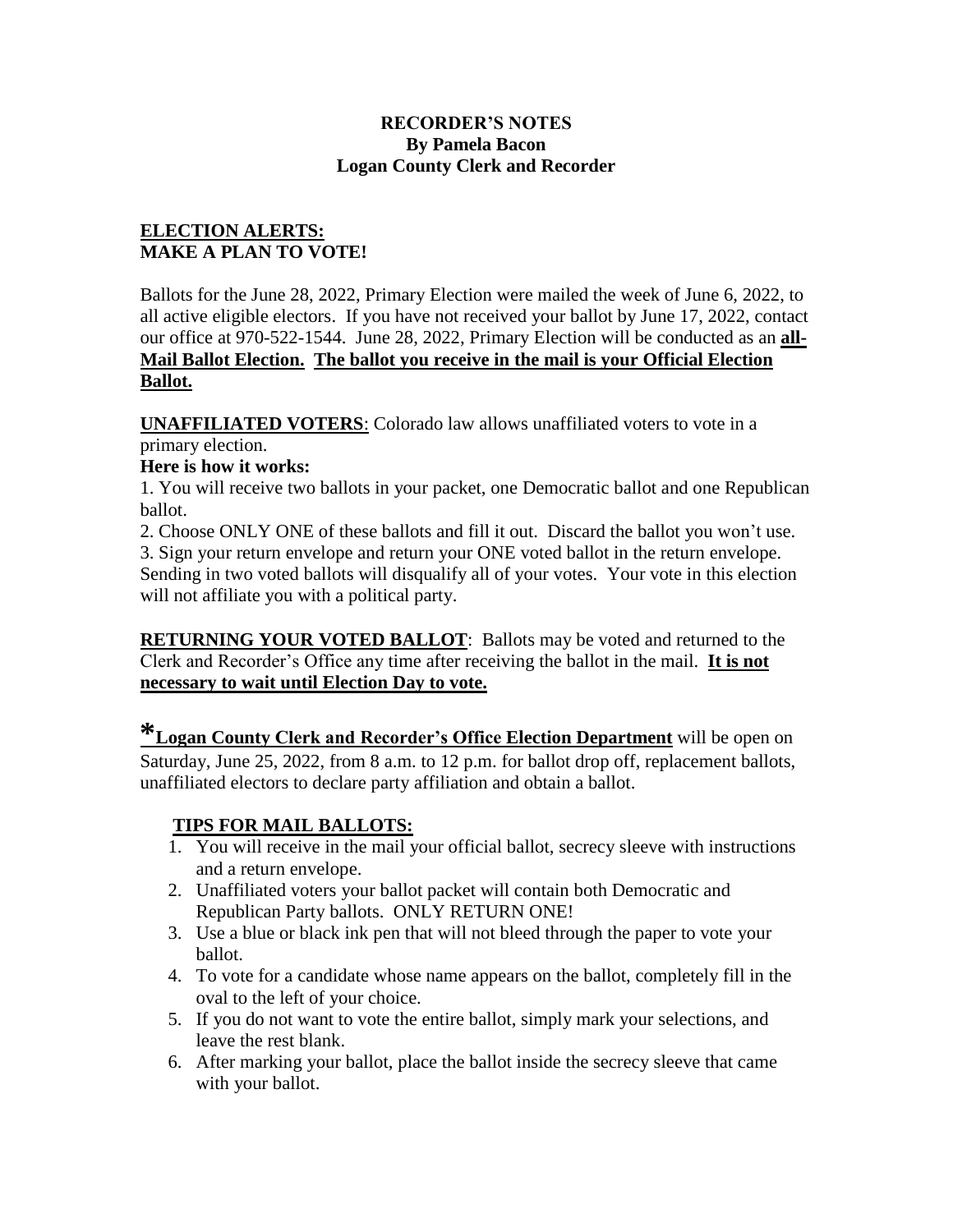#### **RECORDER'S NOTES By Pamela Bacon Logan County Clerk and Recorder**

#### **ELECTION ALERTS: MAKE A PLAN TO VOTE!**

Ballots for the June 28, 2022, Primary Election were mailed the week of June 6, 2022, to all active eligible electors. If you have not received your ballot by June 17, 2022, contact our office at 970-522-1544. June 28, 2022, Primary Election will be conducted as an **all-Mail Ballot Election. The ballot you receive in the mail is your Official Election Ballot.** 

**UNAFFILIATED VOTERS**: Colorado law allows unaffiliated voters to vote in a primary election.

## **Here is how it works:**

1. You will receive two ballots in your packet, one Democratic ballot and one Republican ballot.

2. Choose ONLY ONE of these ballots and fill it out. Discard the ballot you won't use. 3. Sign your return envelope and return your ONE voted ballot in the return envelope. Sending in two voted ballots will disqualify all of your votes. Your vote in this election will not affiliate you with a political party.

**RETURNING YOUR VOTED BALLOT**: Ballots may be voted and returned to the Clerk and Recorder's Office any time after receiving the ballot in the mail. **It is not necessary to wait until Election Day to vote.** 

**\*Logan County Clerk and Recorder's Office Election Department** will be open on Saturday, June 25, 2022, from 8 a.m. to 12 p.m. for ballot drop off, replacement ballots, unaffiliated electors to declare party affiliation and obtain a ballot.

# **TIPS FOR MAIL BALLOTS:**

- 1. You will receive in the mail your official ballot, secrecy sleeve with instructions and a return envelope.
- 2. Unaffiliated voters your ballot packet will contain both Democratic and Republican Party ballots. ONLY RETURN ONE!
- 3. Use a blue or black ink pen that will not bleed through the paper to vote your ballot.
- 4. To vote for a candidate whose name appears on the ballot, completely fill in the oval to the left of your choice.
- 5. If you do not want to vote the entire ballot, simply mark your selections, and leave the rest blank.
- 6. After marking your ballot, place the ballot inside the secrecy sleeve that came with your ballot.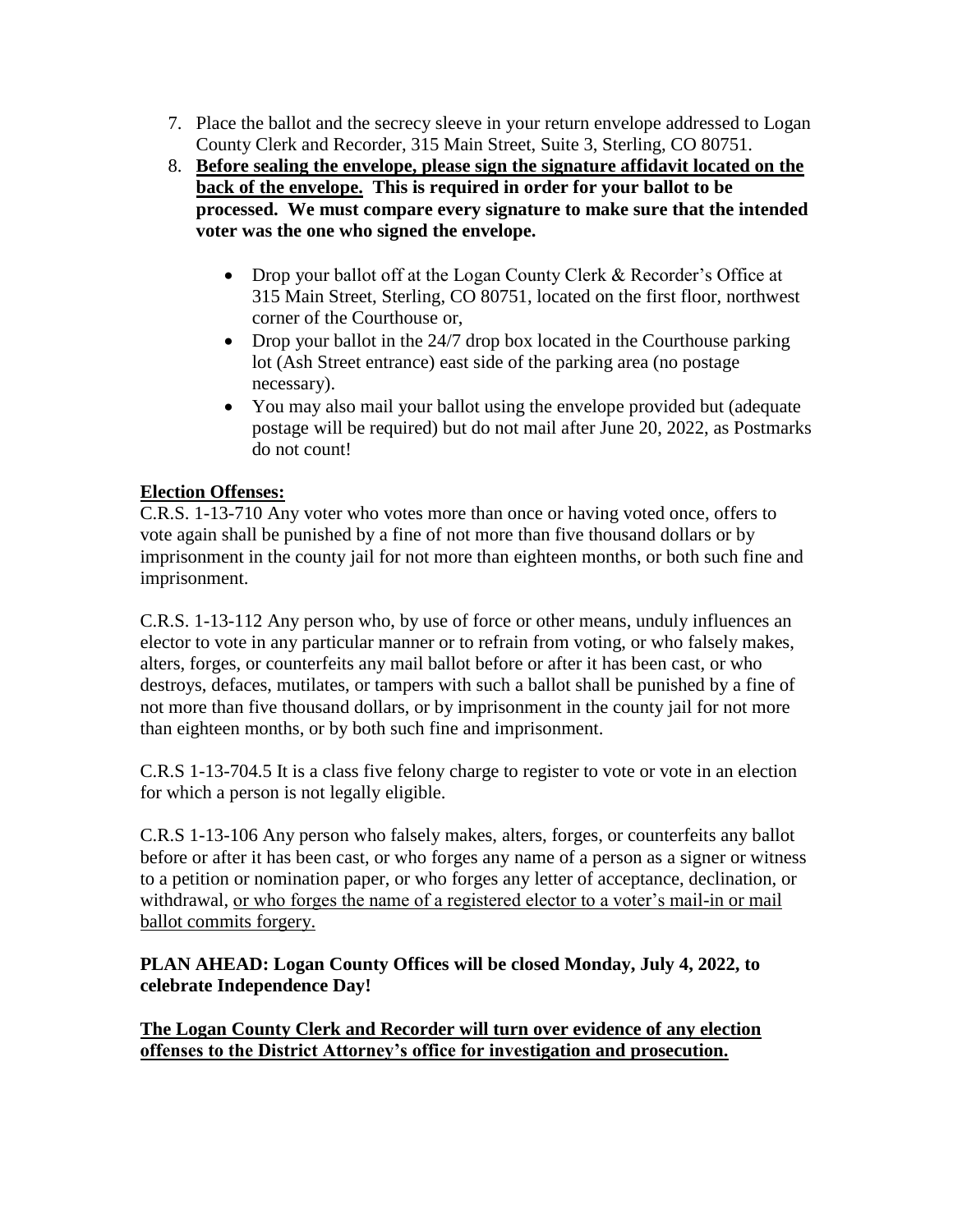- 7. Place the ballot and the secrecy sleeve in your return envelope addressed to Logan County Clerk and Recorder, 315 Main Street, Suite 3, Sterling, CO 80751.
- 8. **Before sealing the envelope, please sign the signature affidavit located on the back of the envelope. This is required in order for your ballot to be processed. We must compare every signature to make sure that the intended voter was the one who signed the envelope.** 
	- Drop your ballot off at the Logan County Clerk & Recorder's Office at 315 Main Street, Sterling, CO 80751, located on the first floor, northwest corner of the Courthouse or,
	- Drop your ballot in the 24/7 drop box located in the Courthouse parking lot (Ash Street entrance) east side of the parking area (no postage necessary).
	- You may also mail your ballot using the envelope provided but (adequate postage will be required) but do not mail after June 20, 2022, as Postmarks do not count!

## **Election Offenses:**

C.R.S. 1-13-710 Any voter who votes more than once or having voted once, offers to vote again shall be punished by a fine of not more than five thousand dollars or by imprisonment in the county jail for not more than eighteen months, or both such fine and imprisonment.

C.R.S. 1-13-112 Any person who, by use of force or other means, unduly influences an elector to vote in any particular manner or to refrain from voting, or who falsely makes, alters, forges, or counterfeits any mail ballot before or after it has been cast, or who destroys, defaces, mutilates, or tampers with such a ballot shall be punished by a fine of not more than five thousand dollars, or by imprisonment in the county jail for not more than eighteen months, or by both such fine and imprisonment.

C.R.S 1-13-704.5 It is a class five felony charge to register to vote or vote in an election for which a person is not legally eligible.

C.R.S 1-13-106 Any person who falsely makes, alters, forges, or counterfeits any ballot before or after it has been cast, or who forges any name of a person as a signer or witness to a petition or nomination paper, or who forges any letter of acceptance, declination, or withdrawal, or who forges the name of a registered elector to a voter's mail-in or mail ballot commits forgery.

**PLAN AHEAD: Logan County Offices will be closed Monday, July 4, 2022, to celebrate Independence Day!** 

**The Logan County Clerk and Recorder will turn over evidence of any election offenses to the District Attorney's office for investigation and prosecution.**